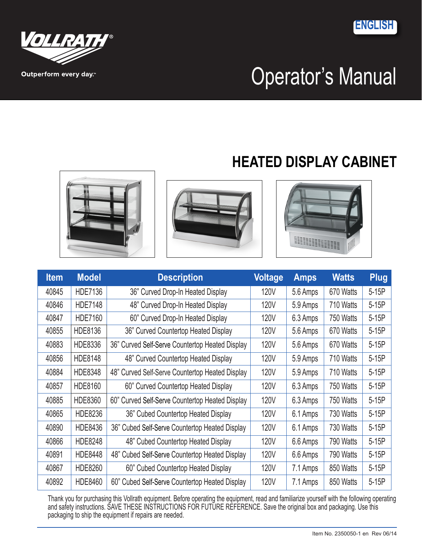**ENGLISH**





Outperform every day.

# **HEATED DISPLAY CABINET**







| <b>Item</b> | <b>Model</b>   | <b>Description</b>                              | <b>Voltage</b> | <b>Amps</b> | <b>Watts</b> | <b>Plug</b> |
|-------------|----------------|-------------------------------------------------|----------------|-------------|--------------|-------------|
| 40845       | HDE7136        | 36" Curved Drop-In Heated Display               | <b>120V</b>    | 5.6 Amps    | 670 Watts    | $5-15P$     |
| 40846       | <b>HDE7148</b> | 48" Curved Drop-In Heated Display               | 120V           | 5.9 Amps    | 710 Watts    | $5-15P$     |
| 40847       | <b>HDE7160</b> | 60" Curved Drop-In Heated Display               | 120V           | 6.3 Amps    | 750 Watts    | $5-15P$     |
| 40855       | HDE8136        | 36" Curved Countertop Heated Display            | 120V           | 5.6 Amps    | 670 Watts    | $5-15P$     |
| 40883       | HDE8336        | 36" Curved Self-Serve Countertop Heated Display | 120V           | 5.6 Amps    | 670 Watts    | $5-15P$     |
| 40856       | <b>HDE8148</b> | 48" Curved Countertop Heated Display            | 120V           | 5.9 Amps    | 710 Watts    | $5-15P$     |
| 40884       | <b>HDE8348</b> | 48" Curved Self-Serve Countertop Heated Display | 120V           | 5.9 Amps    | 710 Watts    | $5-15P$     |
| 40857       | HDE8160        | 60" Curved Countertop Heated Display            | 120V           | 6.3 Amps    | 750 Watts    | $5-15P$     |
| 40885       | HDE8360        | 60" Curved Self-Serve Countertop Heated Display | <b>120V</b>    | 6.3 Amps    | 750 Watts    | $5-15P$     |
| 40865       | HDE8236        | 36" Cubed Countertop Heated Display             | 120V           | 6.1 Amps    | 730 Watts    | $5-15P$     |
| 40890       | HDE8436        | 36" Cubed Self-Serve Countertop Heated Display  | 120V           | 6.1 Amps    | 730 Watts    | $5-15P$     |
| 40866       | HDE8248        | 48" Cubed Countertop Heated Display             | <b>120V</b>    | 6.6 Amps    | 790 Watts    | 5-15P       |
| 40891       | HDE8448        | 48" Cubed Self-Serve Countertop Heated Display  | 120V           | 6.6 Amps    | 790 Watts    | $5-15P$     |
| 40867       | HDE8260        | 60" Cubed Countertop Heated Display             | 120V           | 7.1 Amps    | 850 Watts    | $5-15P$     |
| 40892       | HDE8460        | 60" Cubed Self-Serve Countertop Heated Display  | <b>120V</b>    | 7.1 Amps    | 850 Watts    | $5-15P$     |

Thank you for purchasing this Vollrath equipment. Before operating the equipment, read and familiarize yourself with the following operating and safety instructions. SAVE THESE INSTRUCTIONS FOR FUTURE REFERENCE. Save the original box and packaging. Use this packaging to ship the equipment if repairs are needed.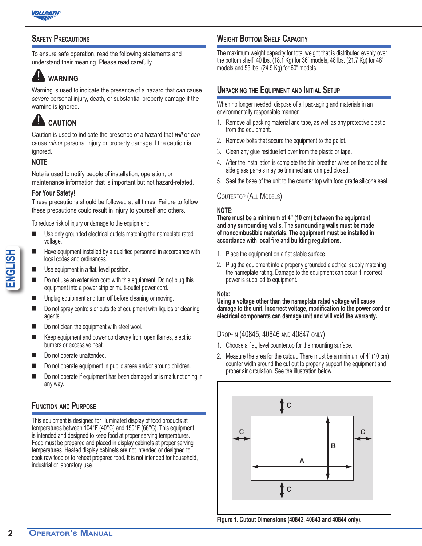

#### **Safety Precautions**

To ensure safe operation, read the following statements and understand their meaning. Please read carefully.

## **WARNING**

Warning is used to indicate the presence of a hazard that *can* cause *severe* personal injury, death, or substantial property damage if the warning is ignored.

## **CAUTION**

Caution is used to indicate the presence of a hazard that *will* or *can* cause *minor* personal injury or property damage if the caution is ignored.

#### **NOTE**

Note is used to notify people of installation, operation, or maintenance information that is important but not hazard-related.

#### **For Your Safety!**

These precautions should be followed at all times. Failure to follow these precautions could result in injury to yourself and others.

To reduce risk of injury or damage to the equipment:

- Use only grounded electrical outlets matching the nameplate rated voltage.
- Have equipment installed by a qualified personnel in accordance with local codes and ordinances.
- Use equipment in a flat, level position.
- Do not use an extension cord with this equipment. Do not plug this equipment into a power strip or multi-outlet power cord.
- Unplug equipment and turn off before cleaning or moving.
- Do not spray controls or outside of equipment with liquids or cleaning agents.
- Do not clean the equipment with steel wool.
- Keep equipment and power cord away from open flames, electric burners or excessive heat.
- Do not operate unattended.
- Do not operate equipment in public areas and/or around children.
- Do not operate if equipment has been damaged or is malfunctioning in any way.

#### **Function and Purpose**

**22 Example 12 ENGLISHERT CONDUCTREND CONDUCTRED CONDUCTRED CONDUCTRED CONDUCTRED CONDUCTRED CONDUCTRED CONDUCTRED CONDUCTRED CONDUCTRED CONDUCTRED CONDUCTRED CONDUCTRED CONDUCTRED CONDUCTRED CONDUCTRED CONDUCTRED CON** This equipment is designed for illuminated display of food products at temperatures between 104°F (40°C) and 150°F (66°C). This equipment is intended and designed to keep food at proper serving temperatures. Food must be prepared and placed in display cabinets at proper serving temperatures. Heated display cabinets are not intended or designed to cook raw food or to reheat prepared food. It is not intended for household, industrial or laboratory use.

#### **Weight Bottom Shelf Capacity**

The maximum weight capacity for total weight that is distributed evenly over the bottom shelf, 40 lbs. (18.1 Kg) for 36" models, 48 lbs. (21.7 Kg) for 48" models and 55 lbs. (24.9 Kg) for 60" models.

#### **Unpacking the Equipment and Initial Setup**

When no longer needed, dispose of all packaging and materials in an environmentally responsible manner.

- 1. Remove all packing material and tape, as well as any protective plastic from the equipment.
- 2. Remove bolts that secure the equipment to the pallet.
- 3. Clean any glue residue left over from the plastic or tape.
- 4. After the installation is complete the thin breather wires on the top of the side glass panels may be trimmed and crimped closed.
- 5. Seal the base of the unit to the counter top with food grade silicone seal.

#### Coutertop (All Models)

#### **NOTE:**

**There must be a minimum of 4" (10 cm) between the equipment and any surrounding walls. The surrounding walls must be made of noncombustible materials. The equipment must be installed in accordance with local fire and building regulations.**

- 1. Place the equipment on a flat stable surface.
- 2. Plug the equipment into a properly grounded electrical supply matching the nameplate rating. Damage to the equipment can occur if incorrect power is supplied to equipment.

#### **Note:**

**Using a voltage other than the nameplate rated voltage will cause damage to the unit. Incorrect voltage, modification to the power cord or electrical components can damage unit and will void the warranty.**

Drop-In (40845, 40846 and 40847 only)

- 1. Choose a flat, level countertop for the mounting surface.
- 2. Measure the area for the cutout. There must be a minimum of 4" (10 cm) counter width around the cut out to properly support the equipment and proper air circulation. See the illustration below.



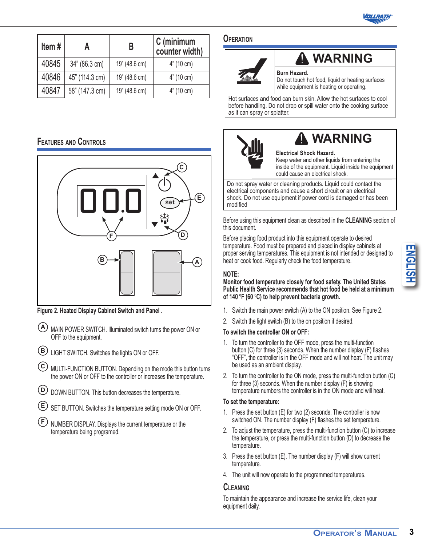

| Item $#$ | А              | В             | C (minimum<br>counter width) |
|----------|----------------|---------------|------------------------------|
| 40845    | 34" (86.3 cm)  | 19" (48.6 cm) | $4^{\circ}$ (10 cm)          |
| 40846    | 45" (114.3 cm) | 19" (48.6 cm) | 4" (10 cm)                   |
| 40847    | 58" (147.3 cm) | 19" (48.6 cm) | 4" (10 cm)                   |

#### **Features and Controls**



**Figure 2. Heated Display Cabinet Switch and Panel .**

- **A** MAIN POWER SWITCH. Illuminated switch turns the power ON or OFF to the equipment.
- **B** LIGHT SWITCH. Switches the lights ON or OFF.
- **C** MULTI-FUNCTION BUTTON. Depending on the mode this button turns the power ON or OFF to the controller or increases the temperature.
- **D** DOWN BUTTON. This button decreases the temperature.
- **E** SET BUTTON. Switches the temperature setting mode ON or OFF.
- **F** NUMBER DISPLAY. Displays the current temperature or the temperature being programed.

#### **Operation**



## **WARNING**

**Burn Hazard.**

Do not touch hot food, liquid or heating surfaces while equipment is heating or operating.

Hot surfaces and food can burn skin. Allow the hot surfaces to cool before handling. Do not drop or spill water onto the cooking surface as it can spray or splatter.



## **WARNING**

**Electrical Shock Hazard.** Keep water and other liquids from entering the inside of the equipment. Liquid inside the equipment could cause an electrical shock.

Do not spray water or cleaning products. Liquid could contact the electrical components and cause a short circuit or an electrical shock. Do not use equipment if power cord is damaged or has been modified

Before using this equipment clean as described in the **CLEANING** section of this document.

Before placing food product into this equipment operate to desired temperature. Food must be prepared and placed in display cabinets at proper serving temperatures. This equipment is not intended or designed to heat or cook food. Regularly check the food temperature.

#### **NOTE:**

**Monitor food temperature closely for food safety. The United States Public Health Service recommends that hot food be held at a minimum of 140** º**F (60** º**C) to help prevent bacteria growth.**

- 1. Switch the main power switch (A) to the ON position. See Figure 2.
- 2. Switch the light switch (B) to the on position if desired.

#### **To switch the controller ON or OFF:**

- 1. To turn the controller to the OFF mode, press the multi-function button (C) for three (3) seconds. When the number display (F) flashes "OFF", the controller is in the OFF mode and will not heat. The unit may be used as an ambient display.
- 2. To turn the controller to the ON mode, press the multi-function button (C) for three (3) seconds. When the number display (F) is showing temperature numbers the controller is in the ON mode and will heat.

#### **To set the temperature:**

- 1. Press the set button (E) for two (2) seconds. The controller is now switched ON. The number display (F) flashes the set temperature.
- 2. To adjust the temperature, press the multi-function button (C) to increase the temperature, or press the multi-function button (D) to decrease the temperature.
- 3. Press the set button (E). The number display (F) will show current temperature.
- 4. The unit will now operate to the programmed temperatures.

#### **Cleaning**

To maintain the appearance and increase the service life, clean your equipment daily.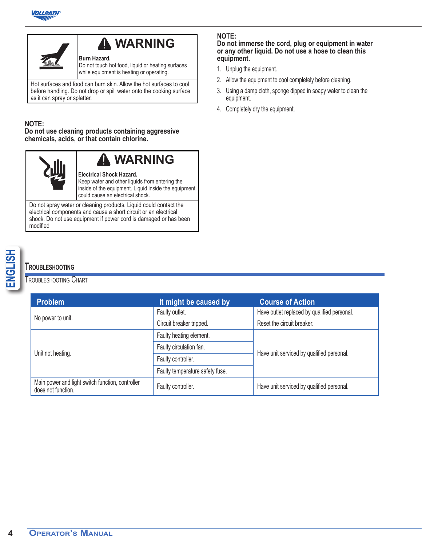



## **WARNING**

**Burn Hazard.** Do not touch hot food, liquid or heating surfaces while equipment is heating or operating.

Hot surfaces and food can burn skin. Allow the hot surfaces to cool before handling. Do not drop or spill water onto the cooking surface as it can spray or splatter.

#### **NOTE:**

**Do not use cleaning products containing aggressive chemicals, acids, or that contain chlorine.**



Do not spray water or cleaning products. Liquid could contact the electrical components and cause a short circuit or an electrical shock. Do not use equipment if power cord is damaged or has been modified

#### Troubleshooting Chart

# **ENGLISHOOTING**<br> **ENGLISHOOTING CHART**<br> **Problem**<br>
No power to unit.<br>
Unit not heating.<br>
Main power and light switch function<br>
does not function. **Problem It might be caused by Course of Action** No power to unit.<br>
No power to unit.<br>
Circuit breaker tripped.<br>
Circuit breaker tripped.<br>
Reset the circuit breaker. Reset the circuit breaker. Unit not heating. Faulty heating element. Faulty circulation fan.<br>
Have unit serviced by qualified personal. Faulty controller. Faulty temperature safety fuse. Main power and light switch function, controller Faulty controller. Faulty controller.

#### **NOTE:**

**Do not immerse the cord, plug or equipment in water or any other liquid. Do not use a hose to clean this equipment.**

- 1. Unplug the equipment.
- 2. Allow the equipment to cool completely before cleaning.
- 3. Using a damp cloth, sponge dipped in soapy water to clean the equipment.
- 4. Completely dry the equipment.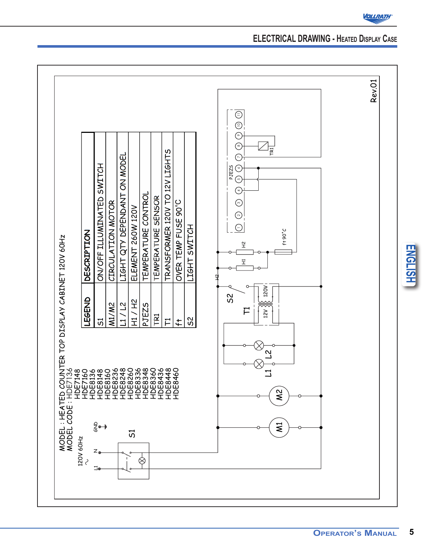

## **ELECTRICAL DRAWING - Heated Display Case**